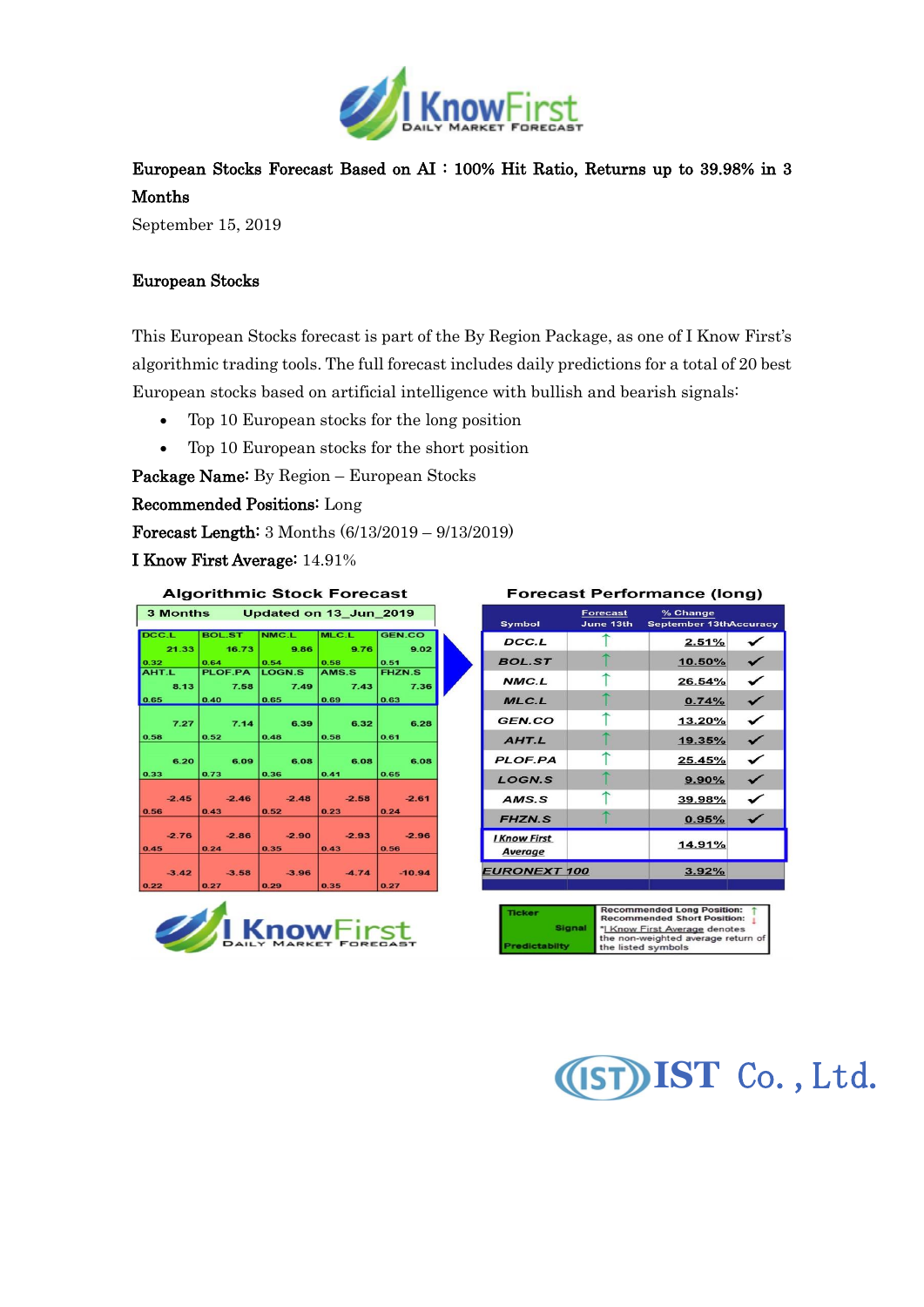

## European Stocks Forecast Based on AI : 100% Hit Ratio, Returns up to 39.98% in 3 Months

September 15, 2019

## European Stocks

This European Stocks forecast is part of the By Region Package, as one of I Know First's algorithmic trading tools. The full forecast includes daily predictions for a total of 20 best European stocks based on artificial intelligence with bullish and bearish signals:

- Top 10 European stocks for the long position
- Top 10 European stocks for the short position

Package Name: By Region – European Stocks

Recommended Positions: Long

Forecast Length: 3 Months (6/13/2019 – 9/13/2019)

I Know First Average: 14.91%

| <b>Algorithmic Stock Forecast</b> |                    |                          |                          |                 |  |  |
|-----------------------------------|--------------------|--------------------------|--------------------------|-----------------|--|--|
| 3 Months Updated on 13 Jun 2019   |                    |                          |                          |                 |  |  |
| DCC.L                             | <b>BOL.ST</b>      | NMC.L                    | MLC.L                    | <b>GEN.CO</b>   |  |  |
| 21.33                             | 16.73              | 9.86                     | 9.76                     | 9.02            |  |  |
| 0.32                              | 0.64               | 0.54                     | 0.58                     | 0.51            |  |  |
| AHT.L                             | PLOF.PA            | LOGN <sub>.S</sub>       | AMS.S                    | <b>FHZN.S</b>   |  |  |
| 8.13                              | 7.58               | 7.49                     | 7.43                     | 7.36            |  |  |
| 0.65                              | 0.40               | 0.65                     | 0.69                     | 0.63            |  |  |
| 7.27<br>0.58                      | 7.14<br>0.52       | 6,39<br>0.48             | 6.32<br>0.58             | 6.28<br>0.61    |  |  |
| 6.20<br>0.33                      | 6.09<br>0.73       | 6.08<br>0.36             | 6.08<br>0.41             | 6.08<br>0.65    |  |  |
|                                   |                    |                          |                          |                 |  |  |
| $-2.45$                           | $-2.46$            | $-2.48$                  | $-2.58$                  | $-2.61$         |  |  |
| 0.56                              | 0.43               | 0.52                     | 0.23                     | 0.24            |  |  |
| $-2.76$<br>0.45                   | $-2.86$<br>0.24    | $-2.90$<br>0.35          | $-2.93$<br>0.43          | $-2.96$<br>0.56 |  |  |
|                                   |                    |                          |                          |                 |  |  |
| $-3.42$<br>$\sim$ $\sim$          | $-3.58$<br>$R = 1$ | $-3.96$<br>$\sim$ $\sim$ | $-4.74$<br>$\sim$ $\sim$ | $-10.94$<br>$-$ |  |  |



## **Forecast Performance (long)**

| Symbol                  | <b>Forecast</b><br>June 13th | % Change<br>September 13thAccuracy |   |
|-------------------------|------------------------------|------------------------------------|---|
| DCC.L                   |                              | 2.51%                              |   |
| <b>BOL.ST</b>           |                              | 10.50%                             |   |
| NMC.L                   |                              | 26.54%                             | ✓ |
| MLC.L                   |                              | 0.74%                              | ✓ |
| GFN.CO                  |                              | 13.20%                             | ✓ |
| AHTL                    |                              | 19.35%                             | ✓ |
| <b>PLOF.PA</b>          |                              | 25.45%                             | ✓ |
| <b>LOGN.S</b>           |                              | $9.90\%$                           |   |
| AMS.S                   |                              | 39.98%                             | ✓ |
| <b>FHZN.S</b>           |                              | 0.95%                              |   |
| I Know First<br>Average |                              | 14.91%                             |   |
| <b>EURONEXT 100</b>     |                              | 3.92%                              |   |
|                         |                              |                                    |   |



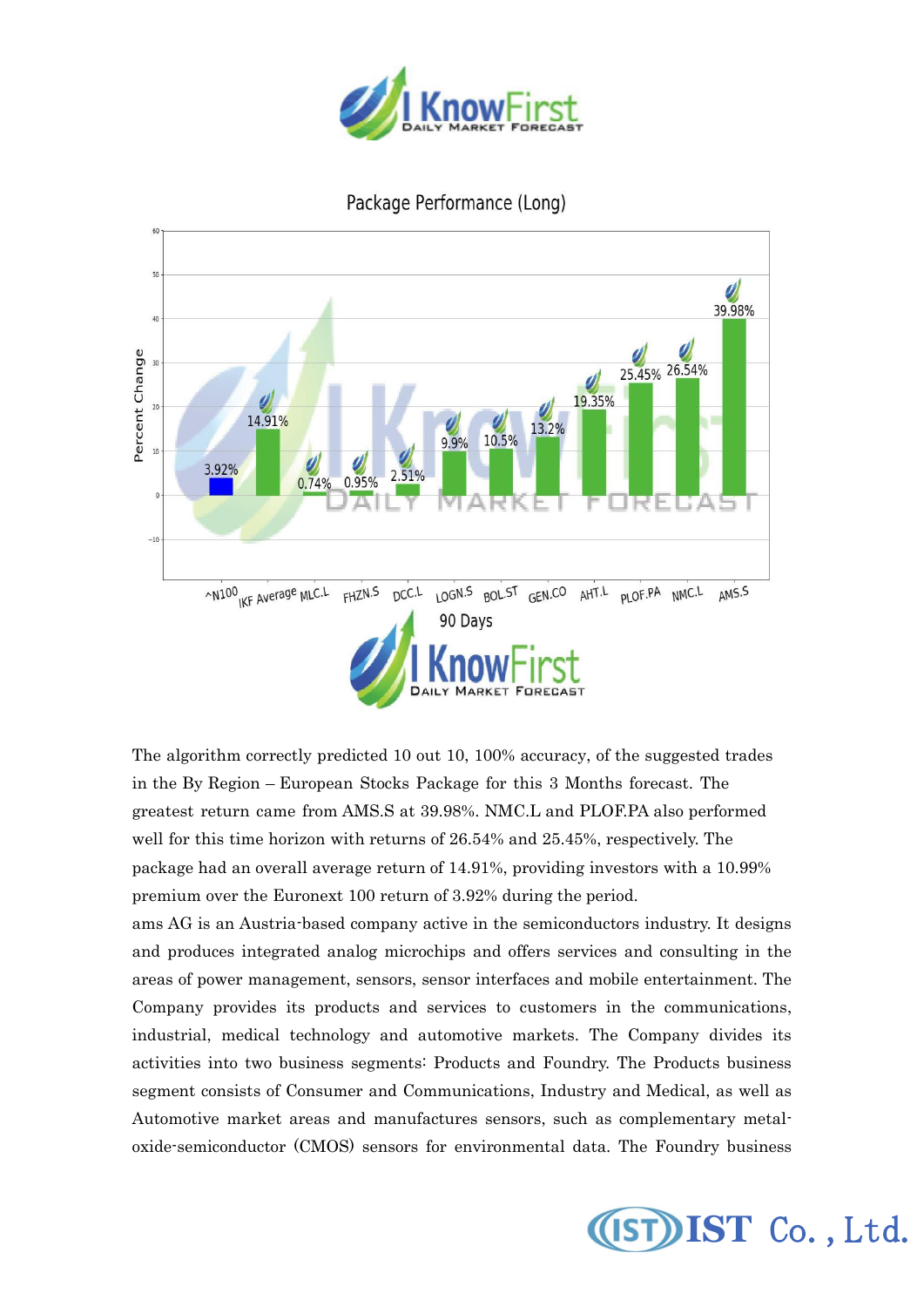

## Package Performance (Long)



The algorithm correctly predicted 10 out 10, 100% accuracy, of the suggested trades in the By Region – European Stocks Package for this 3 Months forecast. The greatest return came from AMS.S at 39.98%. NMC.L and PLOF.PA also performed well for this time horizon with returns of 26.54% and 25.45%, respectively. The package had an overall average return of 14.91%, providing investors with a 10.99% premium over the Euronext 100 return of 3.92% during the period.

ams AG is an Austria-based company active in the semiconductors industry. It designs and produces integrated analog microchips and offers services and consulting in the areas of power management, sensors, sensor interfaces and mobile entertainment. The Company provides its products and services to customers in the communications, industrial, medical technology and automotive markets. The Company divides its activities into two business segments: Products and Foundry. The Products business segment consists of Consumer and Communications, Industry and Medical, as well as Automotive market areas and manufactures sensors, such as complementary metaloxide-semiconductor (CMOS) sensors for environmental data. The Foundry business